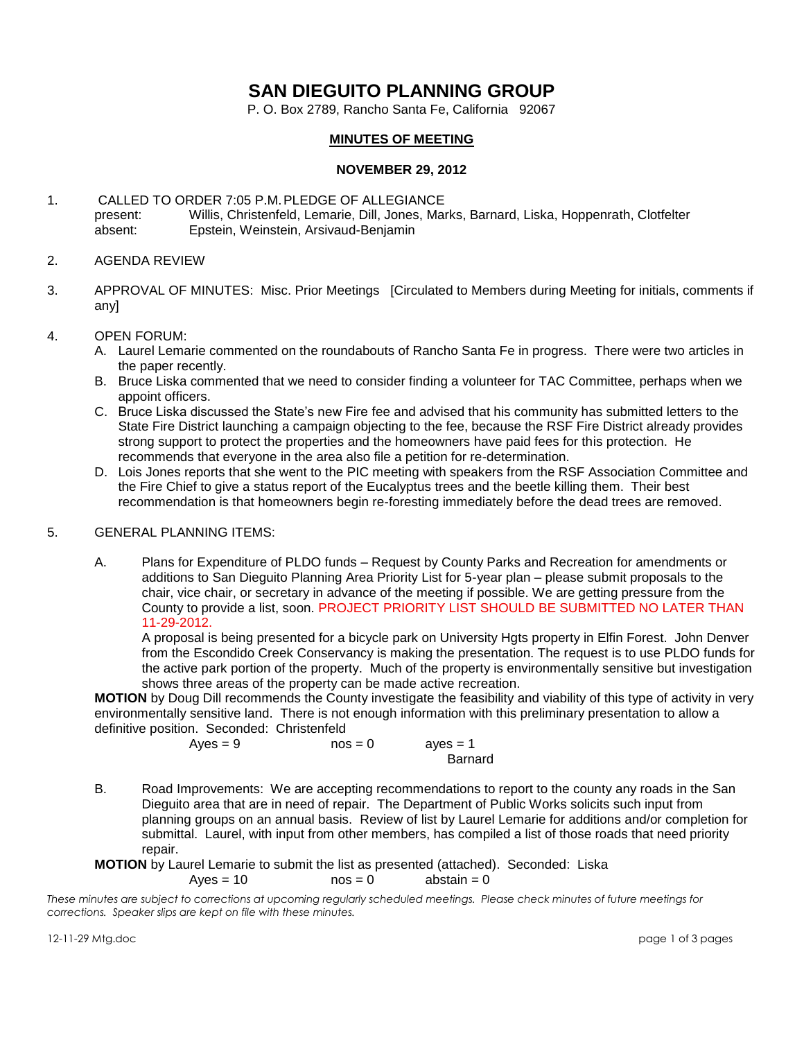# **SAN DIEGUITO PLANNING GROUP**

P. O. Box 2789, Rancho Santa Fe, California 92067

## **MINUTES OF MEETING**

#### **NOVEMBER 29, 2012**

1. CALLED TO ORDER 7:05 P.M.PLEDGE OF ALLEGIANCE present: Willis, Christenfeld, Lemarie, Dill, Jones, Marks, Barnard, Liska, Hoppenrath, Clotfelter absent: Epstein, Weinstein, Arsivaud-Benjamin

- 2. AGENDA REVIEW
- 3. APPROVAL OF MINUTES: Misc. Prior Meetings [Circulated to Members during Meeting for initials, comments if any]

#### 4. OPEN FORUM:

- A. Laurel Lemarie commented on the roundabouts of Rancho Santa Fe in progress. There were two articles in the paper recently.
- B. Bruce Liska commented that we need to consider finding a volunteer for TAC Committee, perhaps when we appoint officers.
- C. Bruce Liska discussed the State's new Fire fee and advised that his community has submitted letters to the State Fire District launching a campaign objecting to the fee, because the RSF Fire District already provides strong support to protect the properties and the homeowners have paid fees for this protection. He recommends that everyone in the area also file a petition for re-determination.
- D. Lois Jones reports that she went to the PIC meeting with speakers from the RSF Association Committee and the Fire Chief to give a status report of the Eucalyptus trees and the beetle killing them. Their best recommendation is that homeowners begin re-foresting immediately before the dead trees are removed.

### 5. GENERAL PLANNING ITEMS:

A. Plans for Expenditure of PLDO funds – Request by County Parks and Recreation for amendments or additions to San Dieguito Planning Area Priority List for 5-year plan – please submit proposals to the chair, vice chair, or secretary in advance of the meeting if possible. We are getting pressure from the County to provide a list, soon. PROJECT PRIORITY LIST SHOULD BE SUBMITTED NO LATER THAN 11-29-2012.

A proposal is being presented for a bicycle park on University Hgts property in Elfin Forest. John Denver from the Escondido Creek Conservancy is making the presentation. The request is to use PLDO funds for the active park portion of the property. Much of the property is environmentally sensitive but investigation shows three areas of the property can be made active recreation.

**MOTION** by Doug Dill recommends the County investigate the feasibility and viability of this type of activity in very environmentally sensitive land. There is not enough information with this preliminary presentation to allow a definitive position. Seconded: Christenfeld

> $Ayes = 9$  nos = 0 ayes = 1 Barnard

B. Road Improvements: We are accepting recommendations to report to the county any roads in the San Dieguito area that are in need of repair. The Department of Public Works solicits such input from planning groups on an annual basis. Review of list by Laurel Lemarie for additions and/or completion for submittal. Laurel, with input from other members, has compiled a list of those roads that need priority repair.

**MOTION** by Laurel Lemarie to submit the list as presented (attached). Seconded: Liska  $Aves = 10$  nos = 0 abstain = 0

*These minutes are subject to corrections at upcoming regularly scheduled meetings. Please check minutes of future meetings for corrections. Speaker slips are kept on file with these minutes.*

12-11-29 Mtg.doc page 1 of 3 pages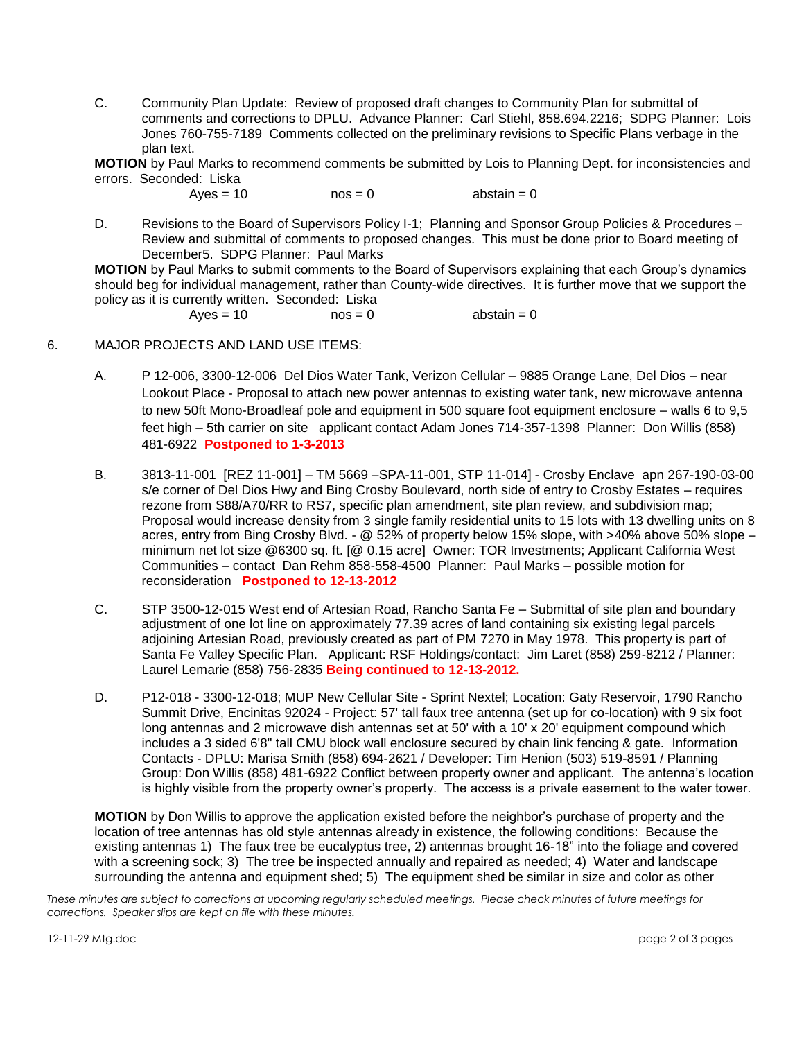C. Community Plan Update: Review of proposed draft changes to Community Plan for submittal of comments and corrections to DPLU. Advance Planner: Carl Stiehl, 858.694.2216; SDPG Planner: Lois Jones 760-755-7189 Comments collected on the preliminary revisions to Specific Plans verbage in the plan text.

**MOTION** by Paul Marks to recommend comments be submitted by Lois to Planning Dept. for inconsistencies and errors. Seconded: Liska

 $Aves = 10$   $nos = 0$  abstain = 0

D. Revisions to the Board of Supervisors Policy I-1; Planning and Sponsor Group Policies & Procedures – Review and submittal of comments to proposed changes. This must be done prior to Board meeting of December5. SDPG Planner: Paul Marks

**MOTION** by Paul Marks to submit comments to the Board of Supervisors explaining that each Group's dynamics should beg for individual management, rather than County-wide directives. It is further move that we support the policy as it is currently written. Seconded: Liska

 $Ayes = 10$  nos = 0 abstain = 0

- 6. MAJOR PROJECTS AND LAND USE ITEMS:
	- A. P 12-006, 3300-12-006 Del Dios Water Tank, Verizon Cellular 9885 Orange Lane, Del Dios near Lookout Place - Proposal to attach new power antennas to existing water tank, new microwave antenna to new 50ft Mono-Broadleaf pole and equipment in 500 square foot equipment enclosure – walls 6 to 9,5 feet high – 5th carrier on site applicant contact Adam Jones 714-357-1398 Planner: Don Willis (858) 481-6922 **Postponed to 1-3-2013**
	- B. 3813-11-001 [REZ 11-001] TM 5669 –SPA-11-001, STP 11-014] Crosby Enclave apn 267-190-03-00 s/e corner of Del Dios Hwy and Bing Crosby Boulevard, north side of entry to Crosby Estates – requires rezone from S88/A70/RR to RS7, specific plan amendment, site plan review, and subdivision map; Proposal would increase density from 3 single family residential units to 15 lots with 13 dwelling units on 8 acres, entry from Bing Crosby Blvd. - @ 52% of property below 15% slope, with >40% above 50% slope – minimum net lot size @6300 sq. ft. [@ 0.15 acre] Owner: TOR Investments; Applicant California West Communities – contact Dan Rehm 858-558-4500 Planner: Paul Marks – possible motion for reconsideration **Postponed to 12-13-2012**
	- C. STP 3500-12-015 West end of Artesian Road, Rancho Santa Fe Submittal of site plan and boundary adjustment of one lot line on approximately 77.39 acres of land containing six existing legal parcels adjoining Artesian Road, previously created as part of PM 7270 in May 1978. This property is part of Santa Fe Valley Specific Plan. Applicant: RSF Holdings/contact: Jim Laret (858) 259-8212 / Planner: Laurel Lemarie (858) 756-2835 **Being continued to 12-13-2012.**
	- D. P12-018 3300-12-018; MUP New Cellular Site Sprint Nextel; Location: Gaty Reservoir, 1790 Rancho Summit Drive, Encinitas 92024 - Project: 57' tall faux tree antenna (set up for co-location) with 9 six foot long antennas and 2 microwave dish antennas set at 50' with a 10' x 20' equipment compound which includes a 3 sided 6'8" tall CMU block wall enclosure secured by chain link fencing & gate. Information Contacts - DPLU: Marisa Smith (858) 694-2621 / Developer: Tim Henion (503) 519-8591 / Planning Group: Don Willis (858) 481-6922 Conflict between property owner and applicant. The antenna's location is highly visible from the property owner's property. The access is a private easement to the water tower.

**MOTION** by Don Willis to approve the application existed before the neighbor's purchase of property and the location of tree antennas has old style antennas already in existence, the following conditions: Because the existing antennas 1) The faux tree be eucalyptus tree, 2) antennas brought 16-18" into the foliage and covered with a screening sock; 3) The tree be inspected annually and repaired as needed; 4) Water and landscape surrounding the antenna and equipment shed; 5) The equipment shed be similar in size and color as other

*These minutes are subject to corrections at upcoming regularly scheduled meetings. Please check minutes of future meetings for corrections. Speaker slips are kept on file with these minutes.*